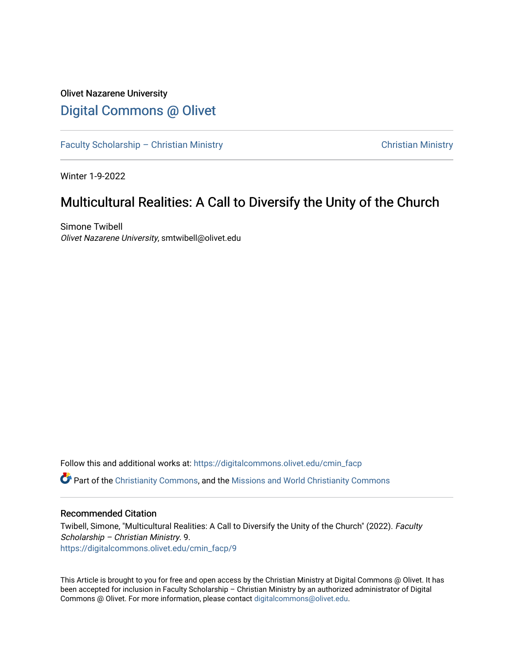## Olivet Nazarene University [Digital Commons @ Olivet](https://digitalcommons.olivet.edu/)

[Faculty Scholarship – Christian Ministry](https://digitalcommons.olivet.edu/cmin_facp) [Christian Ministry](https://digitalcommons.olivet.edu/cmin) Christian Ministry

Winter 1-9-2022

# Multicultural Realities: A Call to Diversify the Unity of the Church

Simone Twibell Olivet Nazarene University, smtwibell@olivet.edu

Follow this and additional works at: [https://digitalcommons.olivet.edu/cmin\\_facp](https://digitalcommons.olivet.edu/cmin_facp?utm_source=digitalcommons.olivet.edu%2Fcmin_facp%2F9&utm_medium=PDF&utm_campaign=PDFCoverPages) Part of the [Christianity Commons,](http://network.bepress.com/hgg/discipline/1181?utm_source=digitalcommons.olivet.edu%2Fcmin_facp%2F9&utm_medium=PDF&utm_campaign=PDFCoverPages) and the [Missions and World Christianity Commons](http://network.bepress.com/hgg/discipline/1187?utm_source=digitalcommons.olivet.edu%2Fcmin_facp%2F9&utm_medium=PDF&utm_campaign=PDFCoverPages) 

## Recommended Citation

Twibell, Simone, "Multicultural Realities: A Call to Diversify the Unity of the Church" (2022). Faculty Scholarship – Christian Ministry. 9. [https://digitalcommons.olivet.edu/cmin\\_facp/9](https://digitalcommons.olivet.edu/cmin_facp/9?utm_source=digitalcommons.olivet.edu%2Fcmin_facp%2F9&utm_medium=PDF&utm_campaign=PDFCoverPages)

This Article is brought to you for free and open access by the Christian Ministry at Digital Commons @ Olivet. It has been accepted for inclusion in Faculty Scholarship – Christian Ministry by an authorized administrator of Digital Commons @ Olivet. For more information, please contact [digitalcommons@olivet.edu.](mailto:digitalcommons@olivet.edu)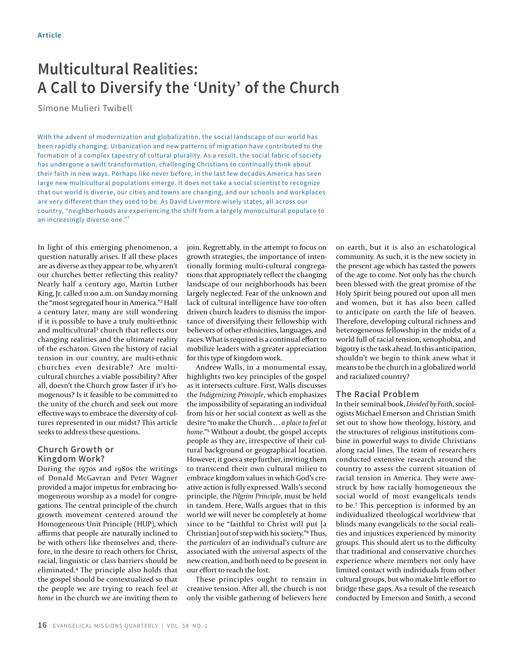# **Multicultural Realities: A Call to Diversify the 'Unity' of the Church**

Simone Mulieri Twibell

With the advent of modernization and globalization, the social landscape of our world has been rapidly changing. Urbanization and new patterns of migration have contributed to the formation of a complex tapestry of cultural plurality. As a result, the social fabric of society has undergone a swift transformation, challenging Christians to continually think about their faith in new ways. Perhaps like never before, in the last few decades America has seen large new multicultural populations emerge. It does not take a social scientist to recognize that our world is diverse, our cities and towns are changing, and our schools and workplaces are very different than they used to be. As David Livermore wisely states, all across our country, "neighborhoods are experiencing the shift from a largely monocultural populace to an increasingly diverse one."<sup>1</sup>

In light of this emerging phenomenon, a question naturally arises. If all these places are as diverse as they appear to be, why aren't our churches better reflecting this reality? Nearly half a century ago, Martin Luther King, Jr. called 11:00 a.m. on Sunday morning the "most segregated hour in America."² Half a century later, many are still wondering if it is possible to have a truly multi-ethnic and multicultural<sup>3</sup> church that reflects our changing realities and the ultimate reality of the eschaton. Given the history of racial tension in our country, are multi-ethnic churches even desirable? Are multicultural churches a viable possibility? After all, doesn't the Church grow faster if it's homogenous? Is it feasible to be committed to the unity of the church and seek out more effective ways to embrace the diversity of cultures represented in our midst? This article seeks to address these questions.

### **Church Growth or Kingdom Work?**

During the 1970s and 1980s the writings of Donald McGavran and Peter Wagner provided a major impetus for embracing homogeneous worship as a model for congregations. The central principle of the church growth movement centered around the Homogeneous Unit Principle (HUP), which affirms that people are naturally inclined to be with others like themselves and, therefore, in the desire to reach others for Christ, racial, linguistic or class barriers should be eliminated.4 The principle also holds that the gospel should be contextualized so that the people we are trying to reach feel *at home* in the church we are inviting them to

join. Regrettably, in the attempt to focus on growth strategies, the importance of intentionally forming multi-cultural congregations that appropriately reflect the changing landscape of our neighborhoods has been largely neglected. Fear of the unknown and lack of cultural intelligence have too often driven church leaders to dismiss the importance of diversifying their fellowship with believers of other ethnicities, languages, and races. What is required is a continual effort to mobilize leaders with a greater appreciation for this type of kingdom work.

Andrew Walls, in a monumental essay, highlights two key principles of the gospel as it intersects culture. First, Walls discusses the *Indigenizing Principle*, which emphasizes the impossibility of separating an individual from his or her social context as well as the desire "to make the Church … *a place to feel at home*."5 Without a doubt, the gospel accepts people as they are, irrespective of their cultural background or geographical location. However, it goes a step further, inviting them to transcend their own cultural milieu to embrace kingdom values in which God's creative action is fully expressed. Walls's second principle, the *Pilgrim Principle*, must be held in tandem. Here, Walls argues that in this world we will never be completely at home since to be "faithful to Christ will put [a Christian] out of step with his society."6 Thus, the *particulars* of an individual's culture are associated with the *universal* aspects of the new creation, and both need to be present in our effort to reach the lost.

These principles ought to remain in creative tension. After all, the church is not only the visible gathering of believers here

on earth, but it is also an eschatological community. As such, it is the new society in the present age which has tasted the powers of the age to come. Not only has the church been blessed with the great promise of the Holy Spirit being poured out upon all men and women, but it has also been called to anticipate on earth the life of heaven. Therefore, developing cultural richness and heterogeneous fellowship in the midst of a world full of racial tension, xenophobia, and bigotry is the task ahead. In this anticipation, shouldn't we begin to think anew what it means to be the church in a globalized world and racialized country?

### **The Racial Problem**

In their seminal book, *Divided by Faith*, sociologists Michael Emerson and Christian Smith set out to show how theology, history, and the structures of religious institutions combine in powerful ways to divide Christians along racial lines. The team of researchers conducted extensive research around the country to assess the current situation of racial tension in America. They were awestruck by how racially homogeneous the social world of most evangelicals tends to be.7 This perception is informed by an individualized theological worldview that blinds many evangelicals to the social realities and injustices experienced by minority groups. This should alert us to the difficulty that traditional and conservative churches experience where members not only have limited contact with individuals from other cultural groups, but who make little effort to bridge these gaps. As a result of the research conducted by Emerson and Smith, a second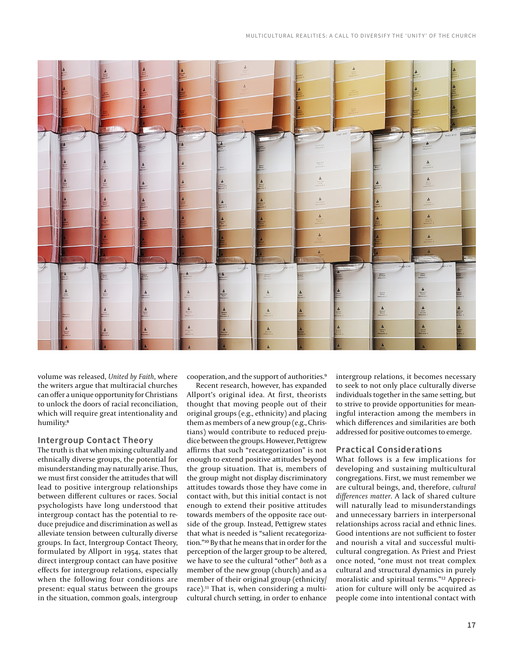

volume was released, *United by Faith*, where the writers argue that multiracial churches can offer a unique opportunity for Christians to unlock the doors of racial reconciliation, which will require great intentionality and humility.<sup>8</sup>

### **Intergroup Contact Theory**

The truth is that when mixing culturally and ethnically diverse groups, the potential for misunderstanding may naturally arise. Thus, we must first consider the attitudes that will lead to positive intergroup relationships between different cultures or races. Social psychologists have long understood that intergroup contact has the potential to reduce prejudice and discrimination as well as alleviate tension between culturally diverse groups. In fact, Intergroup Contact Theory, formulated by Allport in 1954, states that direct intergroup contact can have positive effects for intergroup relations, especially when the following four conditions are present: equal status between the groups in the situation, common goals, intergroup

cooperation, and the support of authorities.9

Recent research, however, has expanded Allport's original idea. At first, theorists thought that moving people out of their original groups (e.g., ethnicity) and placing them as members of a new group (e.g., Christians) would contribute to reduced prejudice between the groups. However, Pettigrew affirms that such "recategorization" is not enough to extend positive attitudes beyond the group situation. That is, members of the group might not display discriminatory attitudes towards those they have come in contact with, but this initial contact is not enough to extend their positive attitudes towards members of the opposite race outside of the group. Instead, Pettigrew states that what is needed is "salient recategorization."10 By that he means that in order for the perception of the larger group to be altered, we have to see the cultural "other" *both* as a member of the new group (church) and as a member of their original group (ethnicity/ race).<sup>11</sup> That is, when considering a multicultural church setting, in order to enhance

intergroup relations, it becomes necessary to seek to not only place culturally diverse individuals together in the same setting, but to strive to provide opportunities for meaningful interaction among the members in which differences and similarities are both addressed for positive outcomes to emerge.

### **Practical Considerations**

What follows is a few implications for developing and sustaining multicultural congregations. First, we must remember we are cultural beings, and, therefore, *cultural differences matter*. A lack of shared culture will naturally lead to misunderstandings and unnecessary barriers in interpersonal relationships across racial and ethnic lines. Good intentions are not sufficient to foster and nourish a vital and successful multicultural congregation. As Priest and Priest once noted, "one must not treat complex cultural and structural dynamics in purely moralistic and spiritual terms."12 Appreciation for culture will only be acquired as people come into intentional contact with